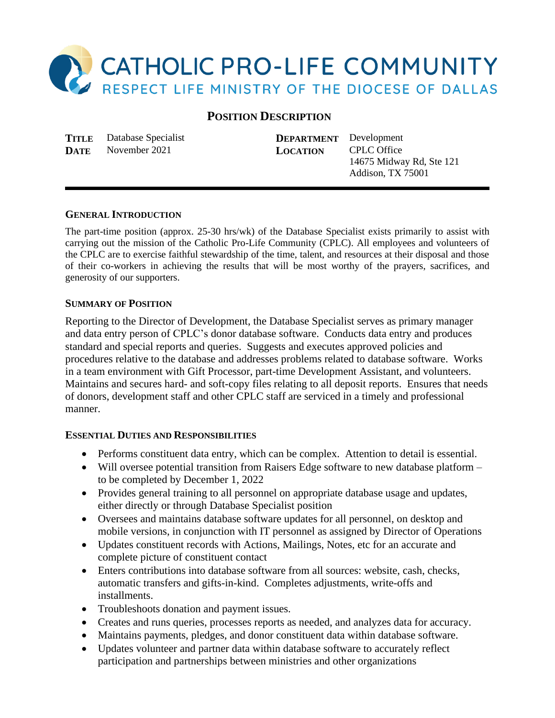

# **POSITION DESCRIPTION**

**TITLE** Database Specialist **DEPARTMENT** Development **DATE** November 2021 **LOCATION** CPLC Office

14675 Midway Rd, Ste 121 Addison, TX 75001

#### **GENERAL INTRODUCTION**

The part-time position (approx. 25-30 hrs/wk) of the Database Specialist exists primarily to assist with carrying out the mission of the Catholic Pro-Life Community (CPLC). All employees and volunteers of the CPLC are to exercise faithful stewardship of the time, talent, and resources at their disposal and those of their co-workers in achieving the results that will be most worthy of the prayers, sacrifices, and generosity of our supporters.

#### **SUMMARY OF POSITION**

Reporting to the Director of Development, the Database Specialist serves as primary manager and data entry person of CPLC's donor database software. Conducts data entry and produces standard and special reports and queries. Suggests and executes approved policies and procedures relative to the database and addresses problems related to database software. Works in a team environment with Gift Processor, part-time Development Assistant, and volunteers. Maintains and secures hard- and soft-copy files relating to all deposit reports. Ensures that needs of donors, development staff and other CPLC staff are serviced in a timely and professional manner.

### **ESSENTIAL DUTIES AND RESPONSIBILITIES**

- Performs constituent data entry, which can be complex. Attention to detail is essential.
- Will oversee potential transition from Raisers Edge software to new database platform to be completed by December 1, 2022
- Provides general training to all personnel on appropriate database usage and updates, either directly or through Database Specialist position
- Oversees and maintains database software updates for all personnel, on desktop and mobile versions, in conjunction with IT personnel as assigned by Director of Operations
- Updates constituent records with Actions, Mailings, Notes, etc for an accurate and complete picture of constituent contact
- Enters contributions into database software from all sources: website, cash, checks, automatic transfers and gifts-in-kind. Completes adjustments, write-offs and installments.
- Troubleshoots donation and payment issues.
- Creates and runs queries, processes reports as needed, and analyzes data for accuracy.
- Maintains payments, pledges, and donor constituent data within database software.
- Updates volunteer and partner data within database software to accurately reflect participation and partnerships between ministries and other organizations